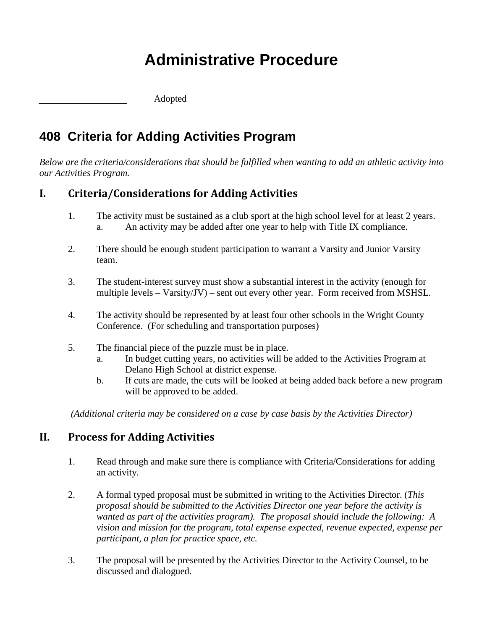## **Administrative Procedure**

\_\_\_\_\_\_\_\_\_\_\_ Adopted

## **408 Criteria for Adding Activities Program**

*Below are the criteria/considerations that should be fulfilled when wanting to add an athletic activity into our Activities Program.*

## **I. Criteria/Considerations for Adding Activities**

- 1. The activity must be sustained as a club sport at the high school level for at least 2 years. a. An activity may be added after one year to help with Title IX compliance.
- 2. There should be enough student participation to warrant a Varsity and Junior Varsity team.
- 3. The student-interest survey must show a substantial interest in the activity (enough for multiple levels – Varsity/JV) – sent out every other year. Form received from MSHSL.
- 4. The activity should be represented by at least four other schools in the Wright County Conference. (For scheduling and transportation purposes)
- 5. The financial piece of the puzzle must be in place.
	- a. In budget cutting years, no activities will be added to the Activities Program at Delano High School at district expense.
	- b. If cuts are made, the cuts will be looked at being added back before a new program will be approved to be added.

*(Additional criteria may be considered on a case by case basis by the Activities Director)*

## **II. Process for Adding Activities**

- 1. Read through and make sure there is compliance with Criteria/Considerations for adding an activity.
- 2. A formal typed proposal must be submitted in writing to the Activities Director. (*This proposal should be submitted to the Activities Director one year before the activity is wanted as part of the activities program). The proposal should include the following: A vision and mission for the program, total expense expected, revenue expected, expense per participant, a plan for practice space, etc.*
- 3. The proposal will be presented by the Activities Director to the Activity Counsel, to be discussed and dialogued.